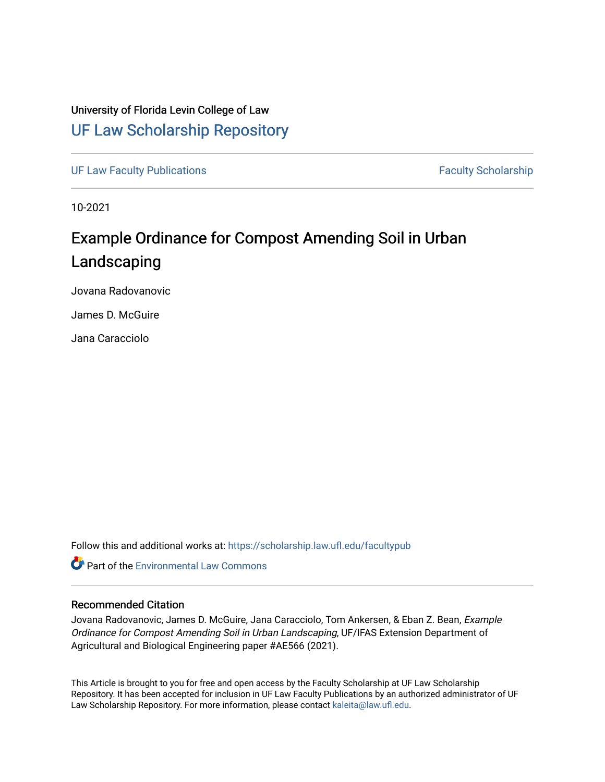### University of Florida Levin College of Law [UF Law Scholarship Repository](https://scholarship.law.ufl.edu/)

[UF Law Faculty Publications](https://scholarship.law.ufl.edu/facultypub) **Faculty Publications** Faculty Scholarship

10-2021

# Example Ordinance for Compost Amending Soil in Urban Landscaping

Jovana Radovanovic

James D. McGuire

Jana Caracciolo

Follow this and additional works at: [https://scholarship.law.ufl.edu/facultypub](https://scholarship.law.ufl.edu/facultypub?utm_source=scholarship.law.ufl.edu%2Ffacultypub%2F1085&utm_medium=PDF&utm_campaign=PDFCoverPages) 

**C** Part of the [Environmental Law Commons](https://network.bepress.com/hgg/discipline/599?utm_source=scholarship.law.ufl.edu%2Ffacultypub%2F1085&utm_medium=PDF&utm_campaign=PDFCoverPages)

#### Recommended Citation

Jovana Radovanovic, James D. McGuire, Jana Caracciolo, Tom Ankersen, & Eban Z. Bean, Example Ordinance for Compost Amending Soil in Urban Landscaping, UF/IFAS Extension Department of Agricultural and Biological Engineering paper #AE566 (2021).

This Article is brought to you for free and open access by the Faculty Scholarship at UF Law Scholarship Repository. It has been accepted for inclusion in UF Law Faculty Publications by an authorized administrator of UF Law Scholarship Repository. For more information, please contact [kaleita@law.ufl.edu](mailto:kaleita@law.ufl.edu).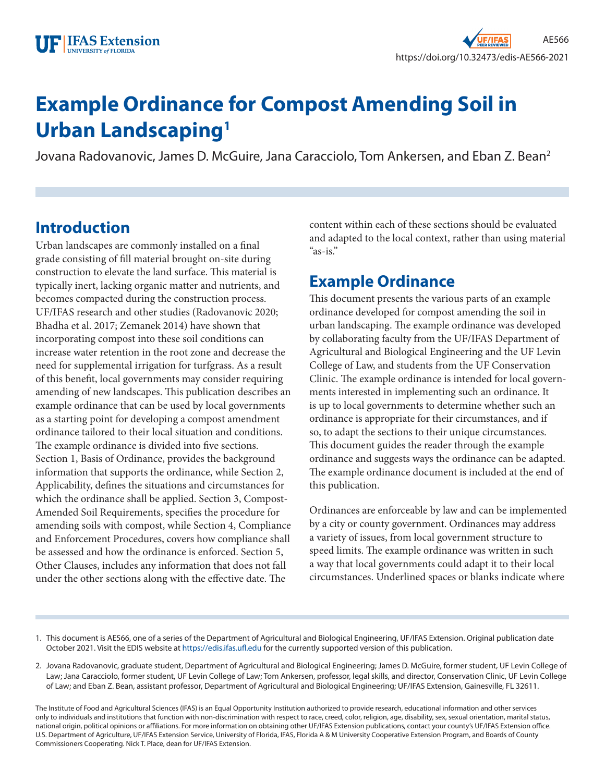# **Example Ordinance for Compost Amending Soil in Urban Landscaping1**

Jovana Radovanovic, James D. McGuire, Jana Caracciolo, Tom Ankersen, and Eban Z. Bean2

# **Introduction**

Urban landscapes are commonly installed on a final grade consisting of fill material brought on-site during construction to elevate the land surface. This material is typically inert, lacking organic matter and nutrients, and becomes compacted during the construction process. UF/IFAS research and other studies (Radovanovic 2020; Bhadha et al. 2017; Zemanek 2014) have shown that incorporating compost into these soil conditions can increase water retention in the root zone and decrease the need for supplemental irrigation for turfgrass. As a result of this benefit, local governments may consider requiring amending of new landscapes. This publication describes an example ordinance that can be used by local governments as a starting point for developing a compost amendment ordinance tailored to their local situation and conditions. The example ordinance is divided into five sections. Section 1, Basis of Ordinance, provides the background information that supports the ordinance, while Section 2, Applicability, defines the situations and circumstances for which the ordinance shall be applied. Section 3, Compost-Amended Soil Requirements, specifies the procedure for amending soils with compost, while Section 4, Compliance and Enforcement Procedures, covers how compliance shall be assessed and how the ordinance is enforced. Section 5, Other Clauses, includes any information that does not fall under the other sections along with the effective date. The

content within each of these sections should be evaluated and adapted to the local context, rather than using material "as-is."

# **Example Ordinance**

This document presents the various parts of an example ordinance developed for compost amending the soil in urban landscaping. The example ordinance was developed by collaborating faculty from the UF/IFAS Department of Agricultural and Biological Engineering and the UF Levin College of Law, and students from the UF Conservation Clinic. The example ordinance is intended for local governments interested in implementing such an ordinance. It is up to local governments to determine whether such an ordinance is appropriate for their circumstances, and if so, to adapt the sections to their unique circumstances. This document guides the reader through the example ordinance and suggests ways the ordinance can be adapted. The example ordinance document is included at the end of this publication.

Ordinances are enforceable by law and can be implemented by a city or county government. Ordinances may address a variety of issues, from local government structure to speed limits. The example ordinance was written in such a way that local governments could adapt it to their local circumstances. Underlined spaces or blanks indicate where

- 1. This document is AE566, one of a series of the Department of Agricultural and Biological Engineering, UF/IFAS Extension. Original publication date October 2021. Visit the EDIS website at <https://edis.ifas.ufl.edu>for the currently supported version of this publication.
- 2. Jovana Radovanovic, graduate student, Department of Agricultural and Biological Engineering; James D. McGuire, former student, UF Levin College of Law; Jana Caracciolo, former student, UF Levin College of Law; Tom Ankersen, professor, legal skills, and director, Conservation Clinic, UF Levin College of Law; and Eban Z. Bean, assistant professor, Department of Agricultural and Biological Engineering; UF/IFAS Extension, Gainesville, FL 32611.

The Institute of Food and Agricultural Sciences (IFAS) is an Equal Opportunity Institution authorized to provide research, educational information and other services only to individuals and institutions that function with non-discrimination with respect to race, creed, color, religion, age, disability, sex, sexual orientation, marital status, national origin, political opinions or affiliations. For more information on obtaining other UF/IFAS Extension publications, contact your county's UF/IFAS Extension office. U.S. Department of Agriculture, UF/IFAS Extension Service, University of Florida, IFAS, Florida A & M University Cooperative Extension Program, and Boards of County Commissioners Cooperating. Nick T. Place, dean for UF/IFAS Extension.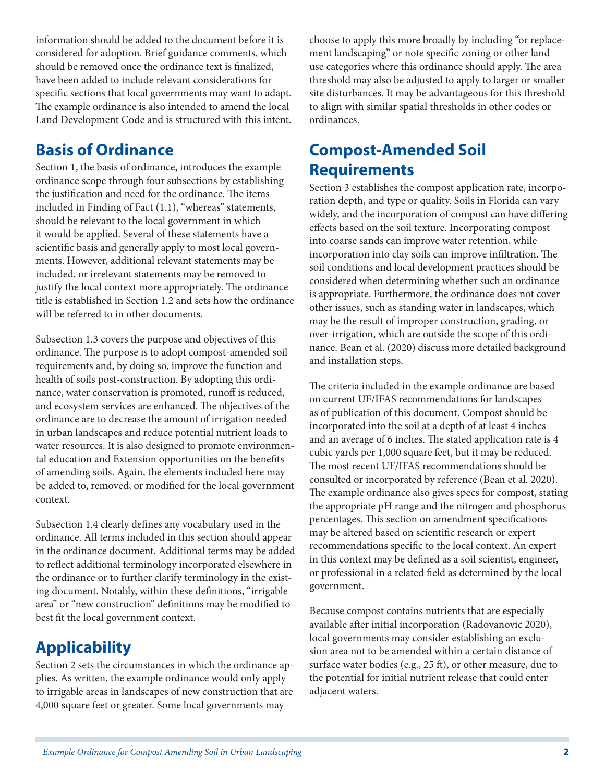information should be added to the document before it is considered for adoption. Brief guidance comments, which should be removed once the ordinance text is finalized, have been added to include relevant considerations for specific sections that local governments may want to adapt. The example ordinance is also intended to amend the local Land Development Code and is structured with this intent.

# **Basis of Ordinance**

Section 1, the basis of ordinance, introduces the example ordinance scope through four subsections by establishing the justification and need for the ordinance. The items included in Finding of Fact (1.1), "whereas" statements, should be relevant to the local government in which it would be applied. Several of these statements have a scientific basis and generally apply to most local governments. However, additional relevant statements may be included, or irrelevant statements may be removed to justify the local context more appropriately. The ordinance title is established in Section 1.2 and sets how the ordinance will be referred to in other documents.

Subsection 1.3 covers the purpose and objectives of this ordinance. The purpose is to adopt compost-amended soil requirements and, by doing so, improve the function and health of soils post-construction. By adopting this ordinance, water conservation is promoted, runoff is reduced, and ecosystem services are enhanced. The objectives of the ordinance are to decrease the amount of irrigation needed in urban landscapes and reduce potential nutrient loads to water resources. It is also designed to promote environmental education and Extension opportunities on the benefits of amending soils. Again, the elements included here may be added to, removed, or modified for the local government context.

Subsection 1.4 clearly defines any vocabulary used in the ordinance. All terms included in this section should appear in the ordinance document. Additional terms may be added to reflect additional terminology incorporated elsewhere in the ordinance or to further clarify terminology in the existing document. Notably, within these definitions, "irrigable area" or "new construction" definitions may be modified to best fit the local government context.

# **Applicability**

Section 2 sets the circumstances in which the ordinance applies. As written, the example ordinance would only apply to irrigable areas in landscapes of new construction that are 4,000 square feet or greater. Some local governments may

choose to apply this more broadly by including "or replacement landscaping" or note specific zoning or other land use categories where this ordinance should apply. The area threshold may also be adjusted to apply to larger or smaller site disturbances. It may be advantageous for this threshold to align with similar spatial thresholds in other codes or ordinances.

# **Compost-Amended Soil Requirements**

Section 3 establishes the compost application rate, incorporation depth, and type or quality. Soils in Florida can vary widely, and the incorporation of compost can have differing effects based on the soil texture. Incorporating compost into coarse sands can improve water retention, while incorporation into clay soils can improve infiltration. The soil conditions and local development practices should be considered when determining whether such an ordinance is appropriate. Furthermore, the ordinance does not cover other issues, such as standing water in landscapes, which may be the result of improper construction, grading, or over-irrigation, which are outside the scope of this ordinance. Bean et al. (2020) discuss more detailed background and installation steps.

The criteria included in the example ordinance are based on current UF/IFAS recommendations for landscapes as of publication of this document. Compost should be incorporated into the soil at a depth of at least 4 inches and an average of 6 inches. The stated application rate is 4 cubic yards per 1,000 square feet, but it may be reduced. The most recent UF/IFAS recommendations should be consulted or incorporated by reference (Bean et al. 2020). The example ordinance also gives specs for compost, stating the appropriate pH range and the nitrogen and phosphorus percentages. This section on amendment specifications may be altered based on scientific research or expert recommendations specific to the local context. An expert in this context may be defined as a soil scientist, engineer, or professional in a related field as determined by the local government.

Because compost contains nutrients that are especially available after initial incorporation (Radovanovic 2020), local governments may consider establishing an exclusion area not to be amended within a certain distance of surface water bodies (e.g., 25 ft), or other measure, due to the potential for initial nutrient release that could enter adjacent waters.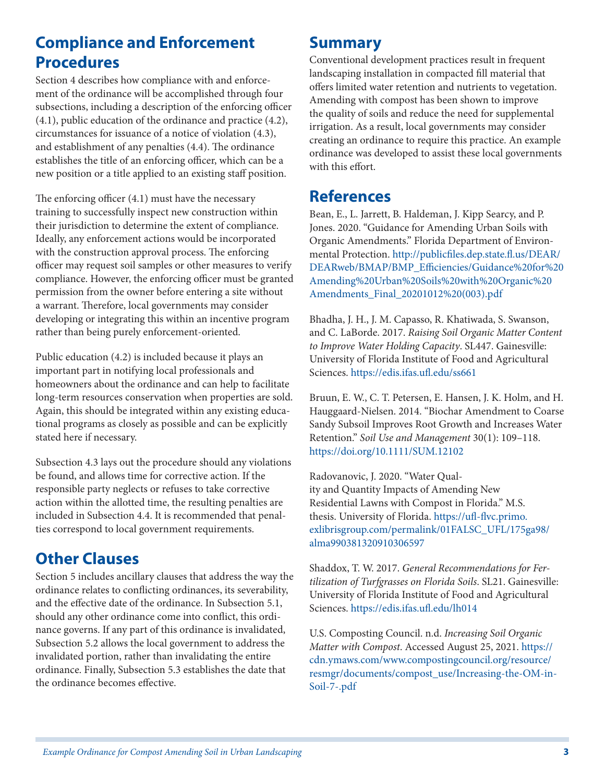# **Compliance and Enforcement Procedures**

Section 4 describes how compliance with and enforcement of the ordinance will be accomplished through four subsections, including a description of the enforcing officer (4.1), public education of the ordinance and practice (4.2), circumstances for issuance of a notice of violation (4.3), and establishment of any penalties (4.4). The ordinance establishes the title of an enforcing officer, which can be a new position or a title applied to an existing staff position.

The enforcing officer (4.1) must have the necessary training to successfully inspect new construction within their jurisdiction to determine the extent of compliance. Ideally, any enforcement actions would be incorporated with the construction approval process. The enforcing officer may request soil samples or other measures to verify compliance. However, the enforcing officer must be granted permission from the owner before entering a site without a warrant. Therefore, local governments may consider developing or integrating this within an incentive program rather than being purely enforcement-oriented.

Public education (4.2) is included because it plays an important part in notifying local professionals and homeowners about the ordinance and can help to facilitate long-term resources conservation when properties are sold. Again, this should be integrated within any existing educational programs as closely as possible and can be explicitly stated here if necessary.

Subsection 4.3 lays out the procedure should any violations be found, and allows time for corrective action. If the responsible party neglects or refuses to take corrective action within the allotted time, the resulting penalties are included in Subsection 4.4. It is recommended that penalties correspond to local government requirements.

# **Other Clauses**

Section 5 includes ancillary clauses that address the way the ordinance relates to conflicting ordinances, its severability, and the effective date of the ordinance. In Subsection 5.1, should any other ordinance come into conflict, this ordinance governs. If any part of this ordinance is invalidated, Subsection 5.2 allows the local government to address the invalidated portion, rather than invalidating the entire ordinance. Finally, Subsection 5.3 establishes the date that the ordinance becomes effective.

### **Summary**

Conventional development practices result in frequent landscaping installation in compacted fill material that offers limited water retention and nutrients to vegetation. Amending with compost has been shown to improve the quality of soils and reduce the need for supplemental irrigation. As a result, local governments may consider creating an ordinance to require this practice. An example ordinance was developed to assist these local governments with this effort.

### **References**

Bean, E., L. Jarrett, B. Haldeman, J. Kipp Searcy, and P. Jones. 2020. "Guidance for Amending Urban Soils with Organic Amendments." Florida Department of Environmental Protection. [http://publicfiles.dep.state.fl.us/DEAR/](http://publicfiles.dep.state.fl.us/DEAR/DEARweb/BMAP/BMP_Efficiencies/Guidance%20for%20Amending%20Urban%20Soils%20with%20Organic%20Amendments_Final_20201012%20(003).pdf) [DEARweb/BMAP/BMP\\_Efficiencies/Guidance%20for%20](http://publicfiles.dep.state.fl.us/DEAR/DEARweb/BMAP/BMP_Efficiencies/Guidance%20for%20Amending%20Urban%20Soils%20with%20Organic%20Amendments_Final_20201012%20(003).pdf) [Amending%20Urban%20Soils%20with%20Organic%20](http://publicfiles.dep.state.fl.us/DEAR/DEARweb/BMAP/BMP_Efficiencies/Guidance%20for%20Amending%20Urban%20Soils%20with%20Organic%20Amendments_Final_20201012%20(003).pdf) [Amendments\\_Final\\_20201012%20\(003\).pdf](http://publicfiles.dep.state.fl.us/DEAR/DEARweb/BMAP/BMP_Efficiencies/Guidance%20for%20Amending%20Urban%20Soils%20with%20Organic%20Amendments_Final_20201012%20(003).pdf)

Bhadha, J. H., J. M. Capasso, R. Khatiwada, S. Swanson, and C. LaBorde. 2017. *Raising Soil Organic Matter Content to Improve Water Holding Capacity*. SL447. Gainesville: University of Florida Institute of Food and Agricultural Sciences.<https://edis.ifas.ufl.edu/ss661>

Bruun, E. W., C. T. Petersen, E. Hansen, J. K. Holm, and H. Hauggaard-Nielsen. 2014. "Biochar Amendment to Coarse Sandy Subsoil Improves Root Growth and Increases Water Retention." *Soil Use and Management* 30(1): 109–118. <https://doi.org/10.1111/SUM.12102>

Radovanovic, J. 2020. "Water Quality and Quantity Impacts of Amending New Residential Lawns with Compost in Florida." M.S. thesis. University of Florida. [https://ufl-flvc.primo.](https://ufl-flvc.primo.exlibrisgroup.com/permalink/01FALSC_UFL/175ga98/alma990381320910306597) [exlibrisgroup.com/permalink/01FALSC\\_UFL/175ga98/](https://ufl-flvc.primo.exlibrisgroup.com/permalink/01FALSC_UFL/175ga98/alma990381320910306597) [alma990381320910306597](https://ufl-flvc.primo.exlibrisgroup.com/permalink/01FALSC_UFL/175ga98/alma990381320910306597)

Shaddox, T. W. 2017. *General Recommendations for Fertilization of Turfgrasses on Florida Soils*. SL21. Gainesville: University of Florida Institute of Food and Agricultural Sciences.<https://edis.ifas.ufl.edu/lh014>

U.S. Composting Council. n.d. *Increasing Soil Organic Matter with Compost*. Accessed August 25, 2021. [https://](https://cdn.ymaws.com/www.compostingcouncil.org/resource/resmgr/documents/compost_use/Increasing-the-OM-in-Soil-7-.pdf) [cdn.ymaws.com/www.compostingcouncil.org/resource/](https://cdn.ymaws.com/www.compostingcouncil.org/resource/resmgr/documents/compost_use/Increasing-the-OM-in-Soil-7-.pdf) [resmgr/documents/compost\\_use/Increasing-the-OM-in-](https://cdn.ymaws.com/www.compostingcouncil.org/resource/resmgr/documents/compost_use/Increasing-the-OM-in-Soil-7-.pdf)[Soil-7-.pdf](https://cdn.ymaws.com/www.compostingcouncil.org/resource/resmgr/documents/compost_use/Increasing-the-OM-in-Soil-7-.pdf)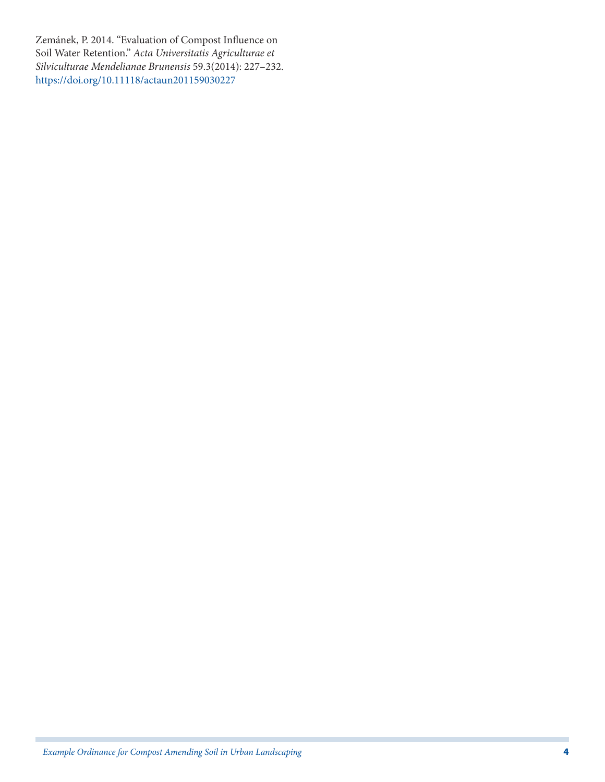Zemánek, P. 2014. "Evaluation of Compost Influence on Soil Water Retention." *Acta Universitatis Agriculturae et Silviculturae Mendelianae Brunensis* 59.3(2014): 227–232. <https://doi.org/10.11118/actaun201159030227>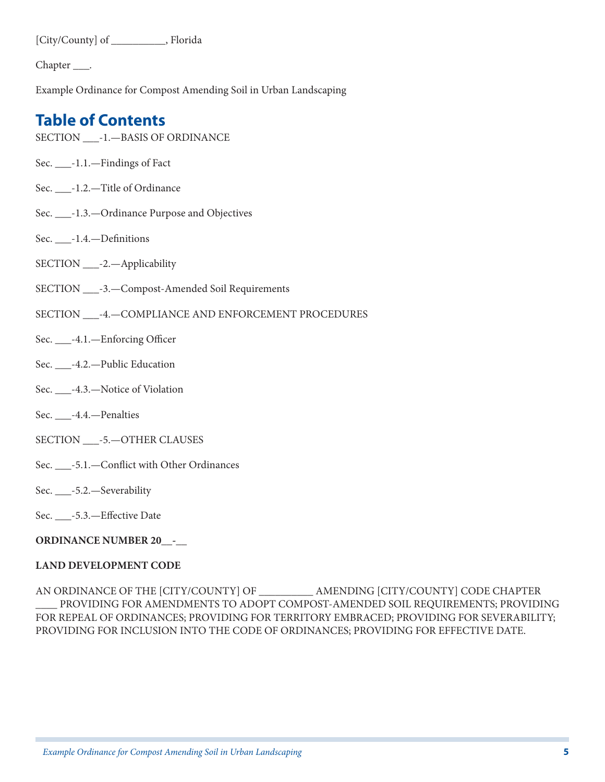[City/County] of \_\_\_\_\_\_\_\_\_\_, Florida

Chapter \_\_\_\_.

Example Ordinance for Compost Amending Soil in Urban Landscaping

# **Table of Contents**

- SECTION \_\_\_-1.—BASIS OF ORDINANCE
- Sec. \_\_\_-1.1.—Findings of Fact
- Sec. \_\_\_-1.2.—Title of Ordinance
- Sec. \_\_\_-1.3.—Ordinance Purpose and Objectives
- Sec. \_\_\_-1.4.—Definitions
- SECTION \_\_\_-2.—Applicability
- SECTION \_\_\_-3.—Compost-Amended Soil Requirements
- SECTION \_\_\_-4.—COMPLIANCE AND ENFORCEMENT PROCEDURES
- Sec. \_\_\_-4.1.—Enforcing Officer
- Sec. \_\_\_-4.2.—Public Education
- Sec. \_\_\_-4.3.—Notice of Violation
- Sec. \_\_\_-4.4.—Penalties
- SECTION \_\_\_-5.—OTHER CLAUSES
- Sec. \_\_\_-5.1.—Conflict with Other Ordinances
- Sec. \_\_\_-5.2.—Severability
- Sec. \_\_\_-5.3.—Effective Date

#### **ORDINANCE NUMBER 20\_\_-\_\_**

#### **LAND DEVELOPMENT CODE**

AN ORDINANCE OF THE [CITY/COUNTY] OF \_\_\_\_\_\_\_\_\_\_ AMENDING [CITY/COUNTY] CODE CHAPTER PROVIDING FOR AMENDMENTS TO ADOPT COMPOST-AMENDED SOIL REQUIREMENTS; PROVIDING FOR REPEAL OF ORDINANCES; PROVIDING FOR TERRITORY EMBRACED; PROVIDING FOR SEVERABILITY; PROVIDING FOR INCLUSION INTO THE CODE OF ORDINANCES; PROVIDING FOR EFFECTIVE DATE.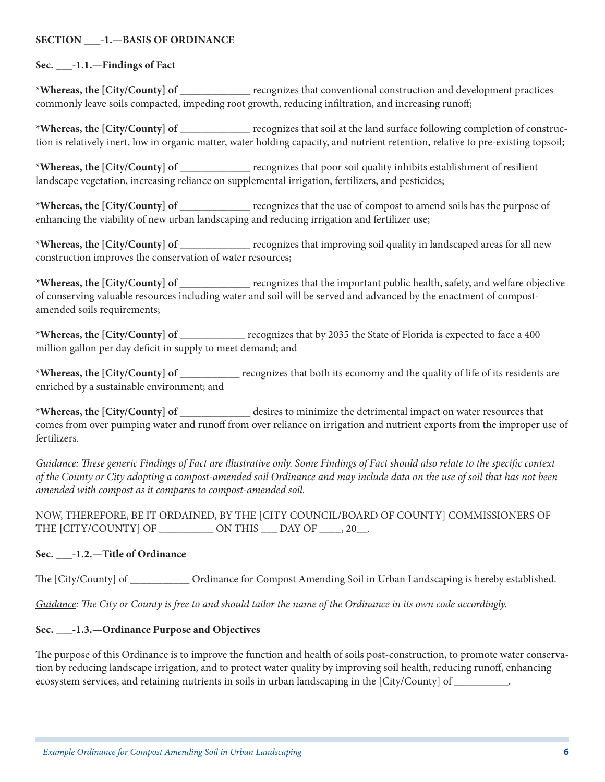#### **SECTION \_\_\_-1.—BASIS OF ORDINANCE**

#### **Sec. \_\_\_-1.1.—Findings of Fact**

**\*Whereas, the [City/County] of** \_\_\_\_\_\_\_\_\_\_\_\_\_ recognizes that conventional construction and development practices commonly leave soils compacted, impeding root growth, reducing infiltration, and increasing runoff;

**\*Whereas, the [City/County] of** \_\_\_\_\_\_\_\_\_\_\_\_\_ recognizes that soil at the land surface following completion of construction is relatively inert, low in organic matter, water holding capacity, and nutrient retention, relative to pre-existing topsoil;

**\*Whereas, the [City/County] of** \_\_\_\_\_\_\_\_\_\_\_\_\_ recognizes that poor soil quality inhibits establishment of resilient landscape vegetation, increasing reliance on supplemental irrigation, fertilizers, and pesticides;

**\*Whereas, the [City/County] of** \_\_\_\_\_\_\_\_\_\_\_\_\_ recognizes that the use of compost to amend soils has the purpose of enhancing the viability of new urban landscaping and reducing irrigation and fertilizer use;

**\*Whereas, the [City/County] of** \_\_\_\_\_\_\_\_\_\_\_\_\_ recognizes that improving soil quality in landscaped areas for all new construction improves the conservation of water resources;

**\*Whereas, the [City/County] of** \_\_\_\_\_\_\_\_\_\_\_\_\_ recognizes that the important public health, safety, and welfare objective of conserving valuable resources including water and soil will be served and advanced by the enactment of compostamended soils requirements;

**\*Whereas, the [City/County] of** \_\_\_\_\_\_\_\_\_\_\_\_ recognizes that by 2035 the State of Florida is expected to face a 400 million gallon per day deficit in supply to meet demand; and

**\*Whereas, the [City/County] of** \_\_\_\_\_\_\_\_\_\_\_ recognizes that both its economy and the quality of life of its residents are enriched by a sustainable environment; and

**\*Whereas, the [City/County] of** \_\_\_\_\_\_\_\_\_\_\_\_\_ desires to minimize the detrimental impact on water resources that comes from over pumping water and runoff from over reliance on irrigation and nutrient exports from the improper use of fertilizers.

*Guidance: These generic Findings of Fact are illustrative only. Some Findings of Fact should also relate to the specific context of the County or City adopting a compost-amended soil Ordinance and may include data on the use of soil that has not been amended with compost as it compares to compost-amended soil.*

NOW, THEREFORE, BE IT ORDAINED, BY THE [CITY COUNCIL/BOARD OF COUNTY] COMMISSIONERS OF THE [CITY/COUNTY] OF \_\_\_\_\_\_\_\_\_\_\_\_ ON THIS \_\_\_ DAY OF \_\_\_\_, 20\_\_.

#### **Sec. \_\_\_-1.2.—Title of Ordinance**

The [City/County] of \_\_\_\_\_\_\_\_\_\_\_ Ordinance for Compost Amending Soil in Urban Landscaping is hereby established.

*Guidance: The City or County is free to and should tailor the name of the Ordinance in its own code accordingly.*

#### **Sec. \_\_\_-1.3.—Ordinance Purpose and Objectives**

The purpose of this Ordinance is to improve the function and health of soils post-construction, to promote water conservation by reducing landscape irrigation, and to protect water quality by improving soil health, reducing runoff, enhancing ecosystem services, and retaining nutrients in soils in urban landscaping in the [City/County] of \_\_\_\_\_\_\_\_\_\_.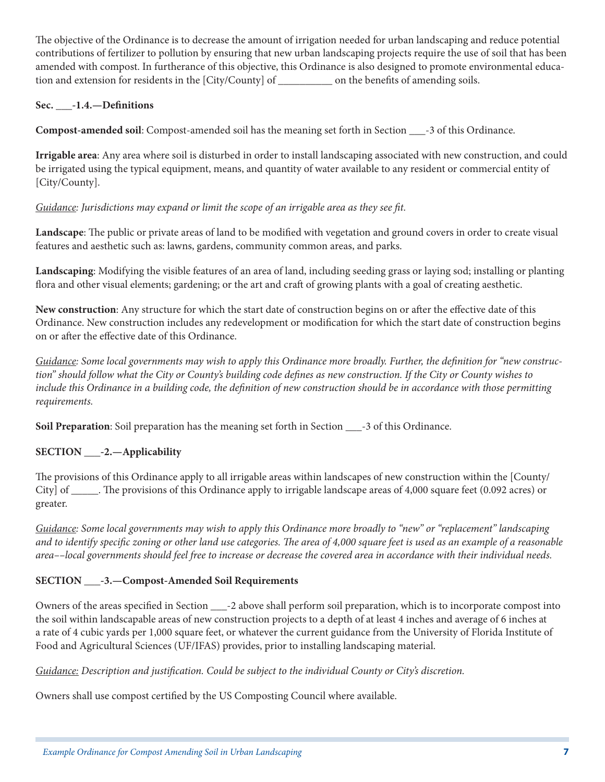The objective of the Ordinance is to decrease the amount of irrigation needed for urban landscaping and reduce potential contributions of fertilizer to pollution by ensuring that new urban landscaping projects require the use of soil that has been amended with compost. In furtherance of this objective, this Ordinance is also designed to promote environmental education and extension for residents in the [City/County] of \_\_\_\_\_\_\_\_\_\_ on the benefits of amending soils.

### **Sec. \_\_\_-1.4.—Definitions**

**Compost-amended soil**: Compost-amended soil has the meaning set forth in Section \_\_\_-3 of this Ordinance.

**Irrigable area**: Any area where soil is disturbed in order to install landscaping associated with new construction, and could be irrigated using the typical equipment, means, and quantity of water available to any resident or commercial entity of [City/County].

### *Guidance: Jurisdictions may expand or limit the scope of an irrigable area as they see fit.*

**Landscape**: The public or private areas of land to be modified with vegetation and ground covers in order to create visual features and aesthetic such as: lawns, gardens, community common areas, and parks.

**Landscaping**: Modifying the visible features of an area of land, including seeding grass or laying sod; installing or planting flora and other visual elements; gardening; or the art and craft of growing plants with a goal of creating aesthetic.

**New construction**: Any structure for which the start date of construction begins on or after the effective date of this Ordinance. New construction includes any redevelopment or modification for which the start date of construction begins on or after the effective date of this Ordinance.

*Guidance: Some local governments may wish to apply this Ordinance more broadly. Further, the definition for "new construction" should follow what the City or County's building code defines as new construction. If the City or County wishes to include this Ordinance in a building code, the definition of new construction should be in accordance with those permitting requirements.*

**Soil Preparation**: Soil preparation has the meaning set forth in Section \_\_\_-3 of this Ordinance.

### **SECTION \_\_\_-2.—Applicability**

The provisions of this Ordinance apply to all irrigable areas within landscapes of new construction within the [County/ City] of \_\_\_\_\_. The provisions of this Ordinance apply to irrigable landscape areas of 4,000 square feet (0.092 acres) or greater.

*Guidance: Some local governments may wish to apply this Ordinance more broadly to "new" or "replacement" landscaping and to identify specific zoning or other land use categories. The area of 4,000 square feet is used as an example of a reasonable area––local governments should feel free to increase or decrease the covered area in accordance with their individual needs.*

### **SECTION \_\_\_-3.—Compost-Amended Soil Requirements**

Owners of the areas specified in Section \_\_\_-2 above shall perform soil preparation, which is to incorporate compost into the soil within landscapable areas of new construction projects to a depth of at least 4 inches and average of 6 inches at a rate of 4 cubic yards per 1,000 square feet, or whatever the current guidance from the University of Florida Institute of Food and Agricultural Sciences (UF/IFAS) provides, prior to installing landscaping material.

*Guidance: Description and justification. Could be subject to the individual County or City's discretion.*

Owners shall use compost certified by the US Composting Council where available.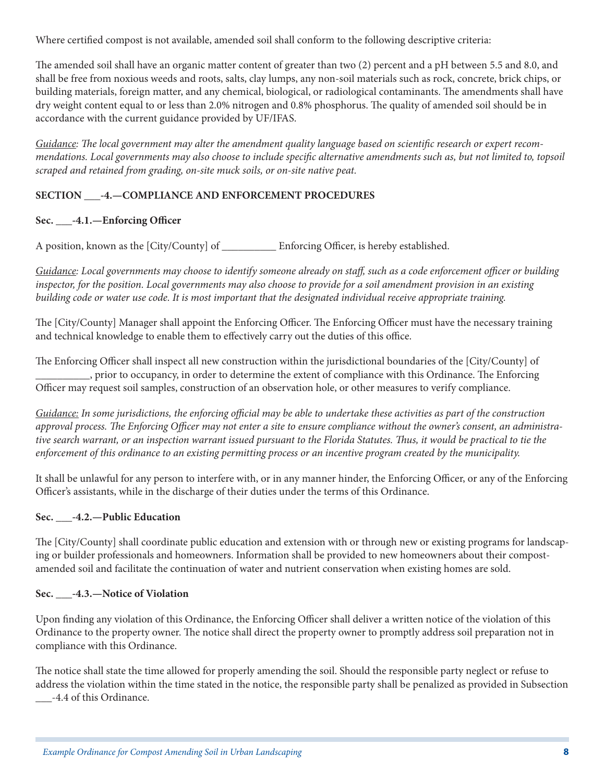Where certified compost is not available, amended soil shall conform to the following descriptive criteria:

The amended soil shall have an organic matter content of greater than two (2) percent and a pH between 5.5 and 8.0, and shall be free from noxious weeds and roots, salts, clay lumps, any non-soil materials such as rock, concrete, brick chips, or building materials, foreign matter, and any chemical, biological, or radiological contaminants. The amendments shall have dry weight content equal to or less than 2.0% nitrogen and 0.8% phosphorus. The quality of amended soil should be in accordance with the current guidance provided by UF/IFAS.

*Guidance: The local government may alter the amendment quality language based on scientific research or expert recommendations. Local governments may also choose to include specific alternative amendments such as, but not limited to, topsoil scraped and retained from grading, on-site muck soils, or on-site native peat.*

### **SECTION \_\_\_-4.—COMPLIANCE AND ENFORCEMENT PROCEDURES**

### **Sec. \_\_\_-4.1.—Enforcing Officer**

A position, known as the [City/County] of \_\_\_\_\_\_\_\_\_\_ Enforcing Officer, is hereby established.

*Guidance: Local governments may choose to identify someone already on staff, such as a code enforcement officer or building inspector, for the position. Local governments may also choose to provide for a soil amendment provision in an existing building code or water use code. It is most important that the designated individual receive appropriate training.*

The [City/County] Manager shall appoint the Enforcing Officer. The Enforcing Officer must have the necessary training and technical knowledge to enable them to effectively carry out the duties of this office.

The Enforcing Officer shall inspect all new construction within the jurisdictional boundaries of the [City/County] of \_\_\_\_\_\_\_\_\_\_, prior to occupancy, in order to determine the extent of compliance with this Ordinance. The Enforcing Officer may request soil samples, construction of an observation hole, or other measures to verify compliance.

*Guidance: In some jurisdictions, the enforcing official may be able to undertake these activities as part of the construction approval process. The Enforcing Officer may not enter a site to ensure compliance without the owner's consent, an administrative search warrant, or an inspection warrant issued pursuant to the Florida Statutes. Thus, it would be practical to tie the enforcement of this ordinance to an existing permitting process or an incentive program created by the municipality.*

It shall be unlawful for any person to interfere with, or in any manner hinder, the Enforcing Officer, or any of the Enforcing Officer's assistants, while in the discharge of their duties under the terms of this Ordinance.

### **Sec. \_\_\_-4.2.—Public Education**

The [City/County] shall coordinate public education and extension with or through new or existing programs for landscaping or builder professionals and homeowners. Information shall be provided to new homeowners about their compostamended soil and facilitate the continuation of water and nutrient conservation when existing homes are sold.

### **Sec. \_\_\_-4.3.—Notice of Violation**

Upon finding any violation of this Ordinance, the Enforcing Officer shall deliver a written notice of the violation of this Ordinance to the property owner. The notice shall direct the property owner to promptly address soil preparation not in compliance with this Ordinance.

The notice shall state the time allowed for properly amending the soil. Should the responsible party neglect or refuse to address the violation within the time stated in the notice, the responsible party shall be penalized as provided in Subsection \_\_\_-4.4 of this Ordinance.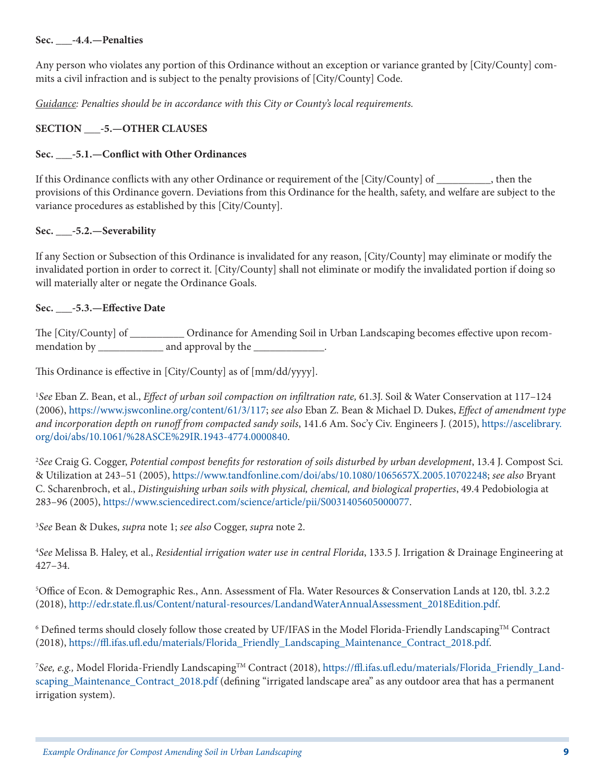#### **Sec. \_\_\_-4.4.—Penalties**

Any person who violates any portion of this Ordinance without an exception or variance granted by [City/County] commits a civil infraction and is subject to the penalty provisions of [City/County] Code.

*Guidance: Penalties should be in accordance with this City or County's local requirements.*

#### **SECTION \_\_\_-5.—OTHER CLAUSES**

#### **Sec. \_\_\_-5.1.—Conflict with Other Ordinances**

If this Ordinance conflicts with any other Ordinance or requirement of the [City/County] of \_\_\_\_\_\_\_\_\_\_, then the provisions of this Ordinance govern. Deviations from this Ordinance for the health, safety, and welfare are subject to the variance procedures as established by this [City/County].

#### **Sec. \_\_\_-5.2.—Severability**

If any Section or Subsection of this Ordinance is invalidated for any reason, [City/County] may eliminate or modify the invalidated portion in order to correct it. [City/County] shall not eliminate or modify the invalidated portion if doing so will materially alter or negate the Ordinance Goals.

#### **Sec. \_\_\_-5.3.—Effective Date**

The [City/County] of \_\_\_\_\_\_\_\_\_\_ Ordinance for Amending Soil in Urban Landscaping becomes effective upon recommendation by \_\_\_\_\_\_\_\_\_\_\_\_\_\_\_ and approval by the \_\_\_\_\_\_\_\_\_\_\_\_\_\_.

This Ordinance is effective in [City/County] as of [mm/dd/yyyy].

1 *See* Eban Z. Bean, et al., *Effect of urban soil compaction on infiltration rate,* 61.3J. Soil & Water Conservation at 117–124 (2006), <https://www.jswconline.org/content/61/3/117>; *see also* Eban Z. Bean & Michael D. Dukes, *Effect of amendment type and incorporation depth on runoff from compacted sandy soils*, 141.6 Am. Soc'y Civ. Engineers J. (2015), [https://ascelibrary.](https://ascelibrary.org/doi/abs/10.1061/%28ASCE%29IR.1943-4774.0000840) [org/doi/abs/10.1061/%28ASCE%29IR.1943-4774.0000840.](https://ascelibrary.org/doi/abs/10.1061/%28ASCE%29IR.1943-4774.0000840)

2 *See* Craig G. Cogger, *Potential compost benefits for restoration of soils disturbed by urban development*, 13.4 J. Compost Sci. & Utilization at 243–51 (2005), <https://www.tandfonline.com/doi/abs/10.1080/1065657X.2005.10702248>; *see also* Bryant C. Scharenbroch, et al., *Distinguishing urban soils with physical, chemical, and biological properties*, 49.4 Pedobiologia at 283–96 (2005),<https://www.sciencedirect.com/science/article/pii/S0031405605000077>.

3 *See* Bean & Dukes, *supra* note 1; *see also* Cogger, *supra* note 2.

4 *See* Melissa B. Haley, et al., *Residential irrigation water use in central Florida*, 133.5 J. Irrigation & Drainage Engineering at 427–34.

5 Office of Econ. & Demographic Res., Ann. Assessment of Fla. Water Resources & Conservation Lands at 120, tbl. 3.2.2 (2018), [http://edr.state.fl.us/Content/natural-resources/LandandWaterAnnualAssessment\\_2018Edition.pdf](http://edr.state.fl.us/Content/natural-resources/LandandWaterAnnualAssessment_2018Edition.pdf).

 $^6$  Defined terms should closely follow those created by UF/IFAS in the Model Florida-Friendly Landscaping $^{\rm TM}$  Contract (2018), [https://ffl.ifas.ufl.edu/materials/Florida\\_Friendly\\_Landscaping\\_Maintenance\\_Contract\\_2018.pdf](https://ffl.ifas.ufl.edu/materials/Florida_Friendly_Landscaping_Maintenance_Contract_2018.pdf).

<sup>7</sup>See, e.g., Model Florida-Friendly Landscaping™ Contract (2018), [https://ffl.ifas.ufl.edu/materials/Florida\\_Friendly\\_Land](https://ffl.ifas.ufl.edu/materials/Florida_Friendly_Landscaping_Maintenance_Contract_2018.pdf)[scaping\\_Maintenance\\_Contract\\_2018.pdf](https://ffl.ifas.ufl.edu/materials/Florida_Friendly_Landscaping_Maintenance_Contract_2018.pdf) (defining "irrigated landscape area" as any outdoor area that has a permanent irrigation system).